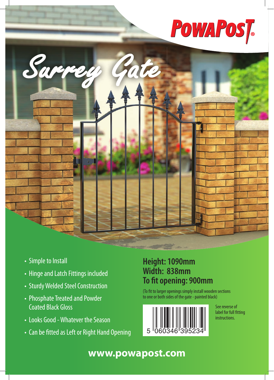# **POWAPOST**



- Simple to Install
- Hinge and Latch Fittings included
- Sturdy Welded Steel Construction
- Phosphate Treated and Powder Coated Black Gloss
- Looks Good Whatever the Season
- Can be fitted as Left or Right Hand Opening

#### **Height: 1090mm Width: 838mm To fit opening: 900mm**

(To fit to larger openings simply install wooden sections to one or both sides of the gate - painted black)



See reverse of label for full fitting instructions.

### **www.powapost.com**